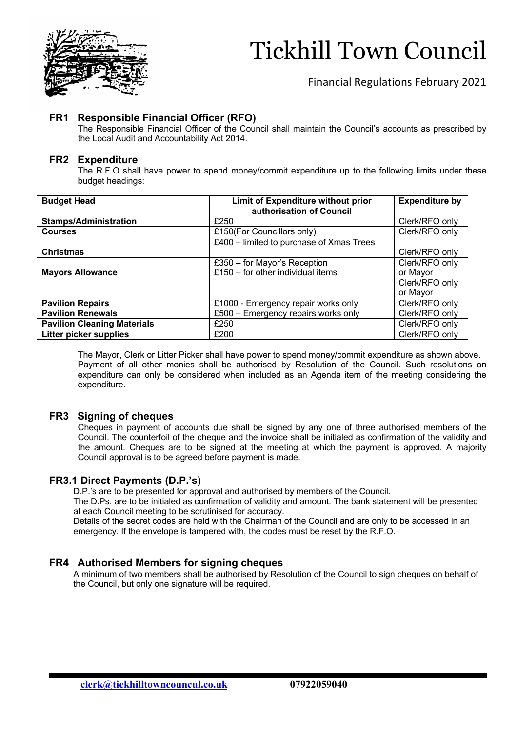

# Tickhill Town Council

Financial Regulations February 2021

### **FR1 Responsible Financial Officer (RFO)**

The Responsible Financial Officer of the Council shall maintain the Council's accounts as prescribed by the Local Audit and Accountability Act 2014.

### **FR2 Expenditure**

The R.F.O shall have power to spend money/commit expenditure up to the following limits under these budget headings:

| <b>Budget Head</b>                 | Limit of Expenditure without prior<br>authorisation of Council | <b>Expenditure by</b> |
|------------------------------------|----------------------------------------------------------------|-----------------------|
| <b>Stamps/Administration</b>       | £250                                                           | Clerk/RFO only        |
| <b>Courses</b>                     | £150(For Councillors only)                                     | Clerk/RFO only        |
|                                    | £400 - limited to purchase of Xmas Trees                       |                       |
| <b>Christmas</b>                   |                                                                | Clerk/RFO only        |
|                                    | £350 - for Mayor's Reception                                   | Clerk/RFO only        |
| <b>Mayors Allowance</b>            | £150 $-$ for other individual items                            | or Mayor              |
|                                    |                                                                | Clerk/RFO only        |
|                                    |                                                                | or Mayor              |
| <b>Pavilion Repairs</b>            | £1000 - Emergency repair works only                            | Clerk/RFO only        |
| <b>Pavilion Renewals</b>           | £500 - Emergency repairs works only                            | Clerk/RFO only        |
| <b>Pavilion Cleaning Materials</b> | £250                                                           | Clerk/RFO only        |
| <b>Litter picker supplies</b>      | £200                                                           | Clerk/RFO only        |

The Mayor, Clerk or Litter Picker shall have power to spend money/commit expenditure as shown above. Payment of all other monies shall be authorised by Resolution of the Council. Such resolutions on expenditure can only be considered when included as an Agenda item of the meeting considering the expenditure.

### **FR3 Signing of cheques**

Cheques in payment of accounts due shall be signed by any one of three authorised members of the Council. The counterfoil of the cheque and the invoice shall be initialed as confirmation of the validity and the amount. Cheques are to be signed at the meeting at which the payment is approved. A majority Council approval is to be agreed before payment is made.

### **FR3.1 Direct Payments (D.P.'s)**

D.P.'s are to be presented for approval and authorised by members of the Council.

 The D.Ps. are to be initialed as confirmation of validity and amount. The bank statement will be presented at each Council meeting to be scrutinised for accuracy.

 Details of the secret codes are held with the Chairman of the Council and are only to be accessed in an emergency. If the envelope is tampered with, the codes must be reset by the R.F.O.

### **FR4 Authorised Members for signing cheques**

A minimum of two members shall be authorised by Resolution of the Council to sign cheques on behalf of the Council, but only one signature will be required.